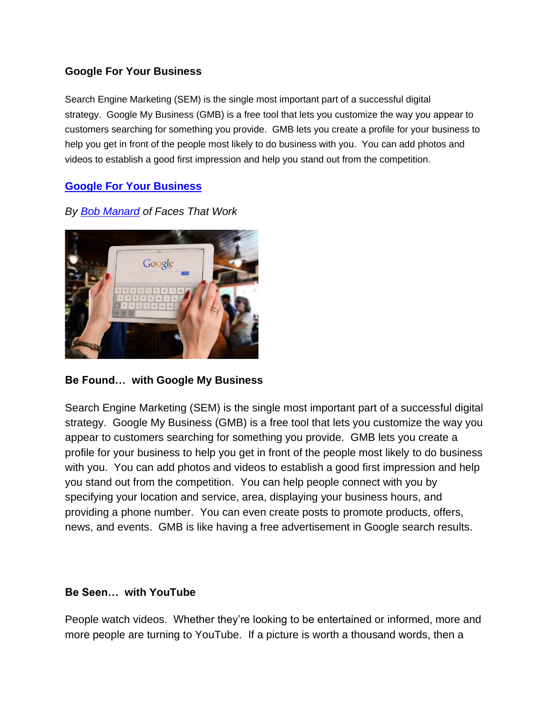## **Google For Your Business**

Search Engine Marketing (SEM) is the single most important part of a successful digital strategy. Google My Business (GMB) is a free tool that lets you customize the way you appear to customers searching for something you provide. GMB lets you create a profile for your business to help you get in front of the people most likely to do business with you. You can add photos and videos to establish a good first impression and help you stand out from the competition.

# **[Google For Your Business](https://rochesterconsultants.org/sys/website/system-pages/?pageId=1859386)**

*By [Bob Manard](https://rochesterconsultants.org/Sys/PublicProfile/12735353) of Faces That Work*



## **Be Found… with Google My Business**

Search Engine Marketing (SEM) is the single most important part of a successful digital strategy. Google My Business (GMB) is a free tool that lets you customize the way you appear to customers searching for something you provide. GMB lets you create a profile for your business to help you get in front of the people most likely to do business with you. You can add photos and videos to establish a good first impression and help you stand out from the competition. You can help people connect with you by specifying your location and service, area, displaying your business hours, and providing a phone number. You can even create posts to promote products, offers, news, and events. GMB is like having a free advertisement in Google search results.

## **Be Seen… with YouTube**

People watch videos. Whether they're looking to be entertained or informed, more and more people are turning to YouTube. If a picture is worth a thousand words, then a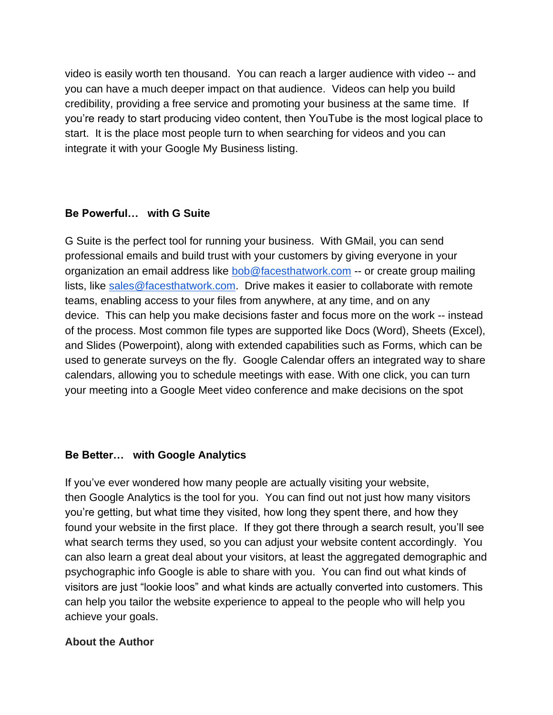video is easily worth ten thousand. You can reach a larger audience with video -- and you can have a much deeper impact on that audience. Videos can help you build credibility, providing a free service and promoting your business at the same time. If you're ready to start producing video content, then YouTube is the most logical place to start. It is the place most people turn to when searching for videos and you can integrate it with your Google My Business listing.

#### **Be Powerful… with G Suite**

G Suite is the perfect tool for running your business. With GMail, you can send professional emails and build trust with your customers by giving everyone in your organization an email address like [bob@facesthatwork.com](mailto:bob@facesthatwork.com) -- or create group mailing lists, like [sales@facesthatwork.com.](mailto:sales@facesthatwork.com) Drive makes it easier to collaborate with remote teams, enabling access to your files from anywhere, at any time, and on any device. This can help you make decisions faster and focus more on the work -- instead of the process. Most common file types are supported like Docs (Word), Sheets (Excel), and Slides (Powerpoint), along with extended capabilities such as Forms, which can be used to generate surveys on the fly. Google Calendar offers an integrated way to share calendars, allowing you to schedule meetings with ease. With one click, you can turn your meeting into a Google Meet video conference and make decisions on the spot

## **Be Better… with Google Analytics**

If you've ever wondered how many people are actually visiting your website, then Google Analytics is the tool for you. You can find out not just how many visitors you're getting, but what time they visited, how long they spent there, and how they found your website in the first place. If they got there through a search result, you'll see what search terms they used, so you can adjust your website content accordingly. You can also learn a great deal about your visitors, at least the aggregated demographic and psychographic info Google is able to share with you. You can find out what kinds of visitors are just "lookie loos" and what kinds are actually converted into customers. This can help you tailor the website experience to appeal to the people who will help you achieve your goals.

#### **About the Author**